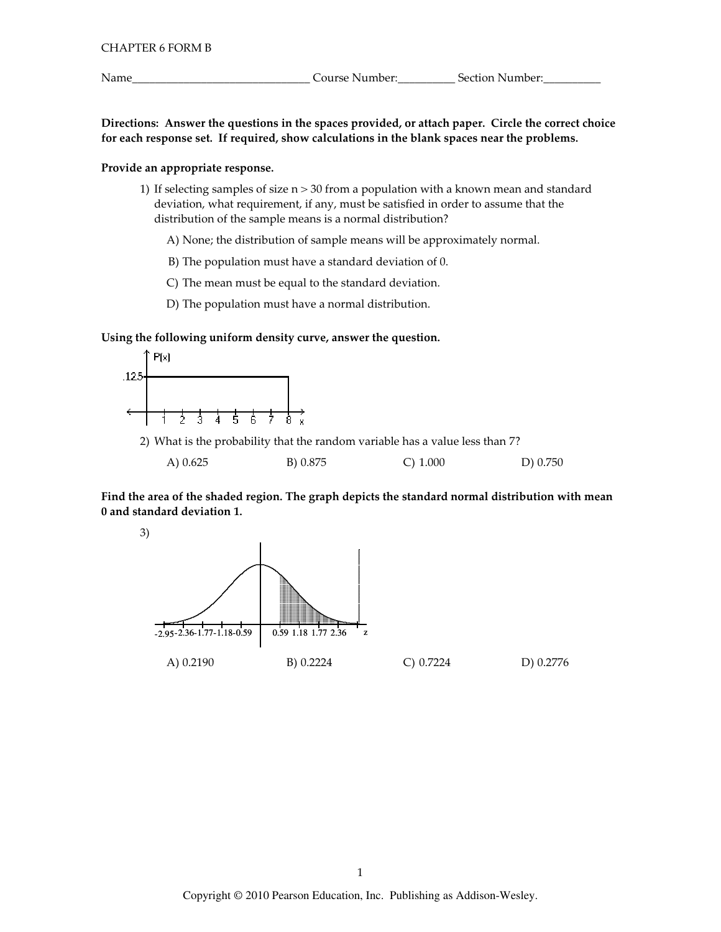Name

Directions: Answer the questions in the spaces provided, or attach paper. Circle the correct choice for each response set. If required, show calculations in the blank spaces near the problems.

## Provide an appropriate response.

1) If selecting samples of size  $n > 30$  from a population with a known mean and standard deviation, what requirement, if any, must be satisfied in order to assume that the distribution of the sample means is a normal distribution?

A) None; the distribution of sample means will be approximately normal.

B) The population must have a standard deviation of 0.

C) The mean must be equal to the standard deviation.

D) The population must have a normal distribution.

#### Using the following uniform density curve, answer the question.



2) What is the probability that the random variable has a value less than 7?

|  | A) 0.625 | B) 0.875 | $C)$ 1.000 | D) 0.750 |
|--|----------|----------|------------|----------|
|--|----------|----------|------------|----------|

Find the area of the shaded region. The graph depicts the standard normal distribution with mean 0 and standard deviation 1.

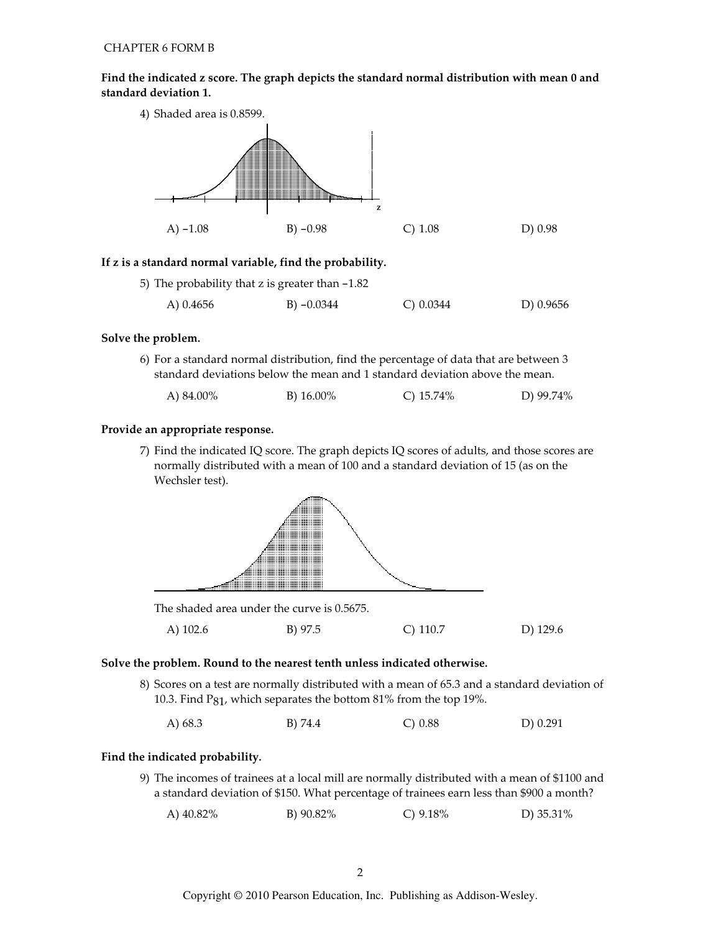Find the indicated z score. The graph depicts the standard normal distribution with mean 0 and standard deviation 1.



## If z is a standard normal variable, find the probability.

|  |  | 5) The probability that z is greater than $-1.82$ |  |  |  |
|--|--|---------------------------------------------------|--|--|--|
|--|--|---------------------------------------------------|--|--|--|

| A) 0.4656 | B) $-0.0344$ | C) 0.0344 | D) 0.9656 |
|-----------|--------------|-----------|-----------|
|-----------|--------------|-----------|-----------|

#### Solve the problem.

6) For a standard normal distribution, find the percentage of data that are between 3 standard deviations below the mean and 1 standard deviation above the mean.

| A) 84.00% | B) 16.00% | C) $15.74\%$ | D) 99.74% |
|-----------|-----------|--------------|-----------|
|-----------|-----------|--------------|-----------|

#### Provide an appropriate response.

7) Find the indicated IQ score. The graph depicts IQ scores of adults, and those scores are normally distributed with a mean of 100 and a standard deviation of 15 (as on the Wechsler test).



A) 102.6 B) 97.5  $C)$  110.7 D) 129.6

#### Solve the problem. Round to the nearest tenth unless indicated otherwise.

8) Scores on a test are normally distributed with a mean of 65.3 and a standard deviation of 10.3. Find P<sub>81</sub>, which separates the bottom 81% from the top 19%.

A $) 68.3$ B) 74.4  $C) 0.88$  $D) 0.291$ 

#### Find the indicated probability.

9) The incomes of trainees at a local mill are normally distributed with a mean of \$1100 and a standard deviation of \$150. What percentage of trainees earn less than \$900 a month?

B) 90.82% C)  $9.18%$ D) 35.31% A) 40.82%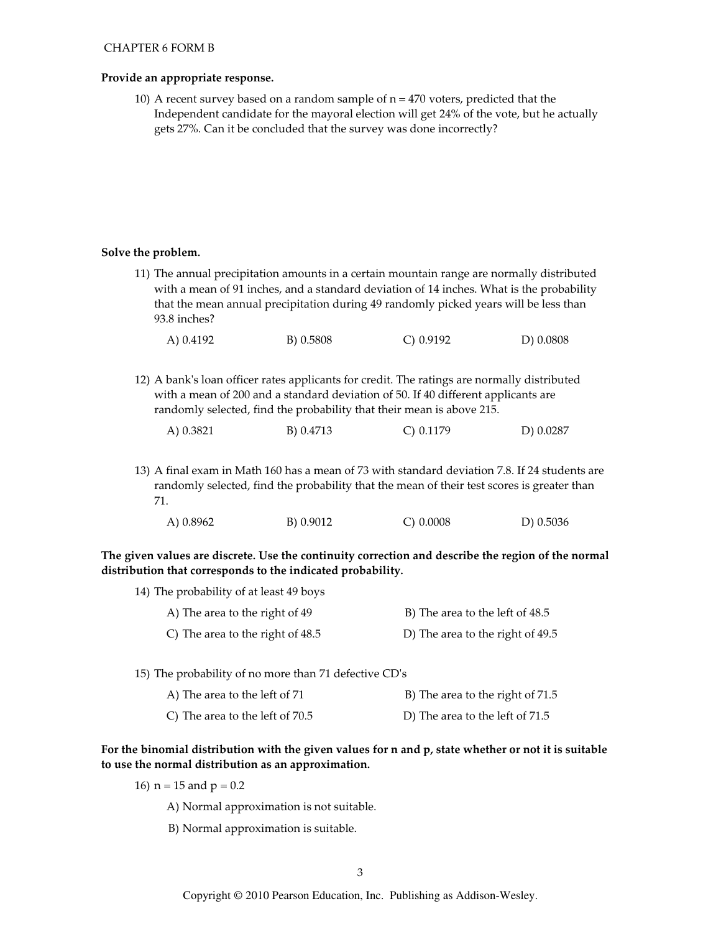## Provide an appropriate response.

10) A recent survey based on a random sample of  $n = 470$  voters, predicted that the Independent candidate for the mayoral election will get 24% of the vote, but he actually gets 27%. Can it be concluded that the survey was done incorrectly?

## Solve the problem.

11) The annual precipitation amounts in a certain mountain range are normally distributed with a mean of 91 inches, and a standard deviation of 14 inches. What is the probability that the mean annual precipitation during 49 randomly picked years will be less than 93.8 inches?

| B) 0.5808<br>A) 0.4192<br>$C$ ) 0.9192 | D) 0.0808 |
|----------------------------------------|-----------|
|----------------------------------------|-----------|

12) A bank's loan officer rates applicants for credit. The ratings are normally distributed with a mean of 200 and a standard deviation of 50. If 40 different applicants are randomly selected, find the probability that their mean is above 215.

| A) 0.3821 | B) 0.4713 | $C$ ) 0.1179 | D) 0.0287 |
|-----------|-----------|--------------|-----------|
|           |           |              |           |

13) A final exam in Math 160 has a mean of 73 with standard deviation 7.8. If 24 students are randomly selected, find the probability that the mean of their test scores is greater than 71.

| A) 0.8962 | B) 0.9012 | C) 0.0008 | D) $0.5036$ |
|-----------|-----------|-----------|-------------|
|           |           |           |             |

The given values are discrete. Use the continuity correction and describe the region of the normal distribution that corresponds to the indicated probability.

| 14) The probability of at least 49 boys |                                  |
|-----------------------------------------|----------------------------------|
| A) The area to the right of 49          | B) The area to the left of 48.5  |
| C) The area to the right of 48.5        | D) The area to the right of 49.5 |

- 15) The probability of no more than 71 defective CD's
	- B) The area to the right of 71.5 A) The area to the left of 71
	- C) The area to the left of 70.5 D) The area to the left of 71.5

## For the binomial distribution with the given values for n and p, state whether or not it is suitable to use the normal distribution as an approximation.

- 16)  $n = 15$  and  $p = 0.2$ 
	- A) Normal approximation is not suitable.
	- B) Normal approximation is suitable.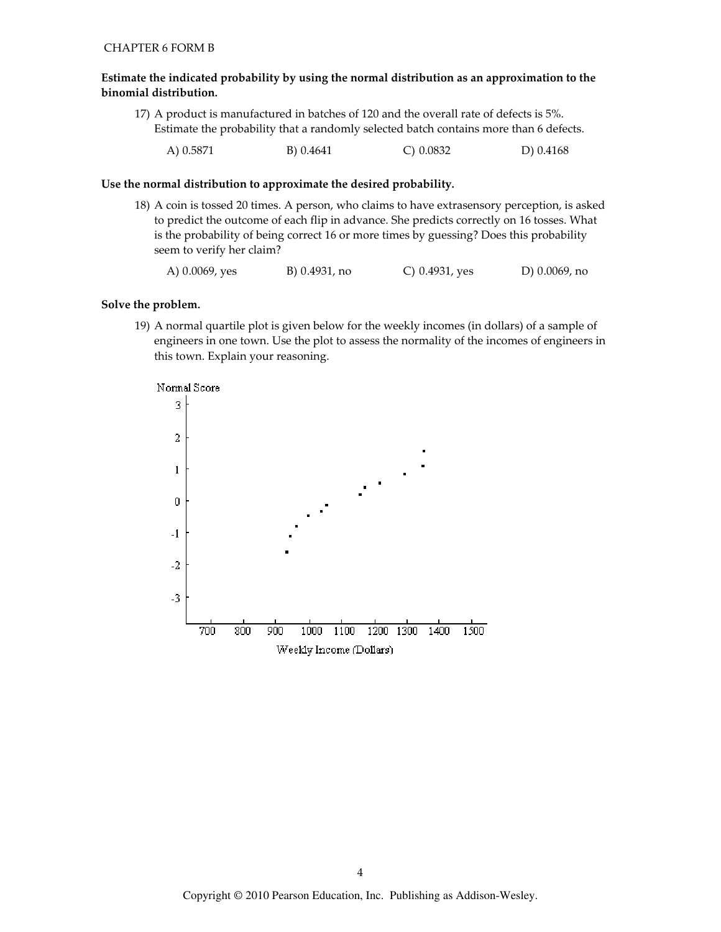#### Estimate the indicated probability by using the normal distribution as an approximation to the binomial distribution.

17) A product is manufactured in batches of 120 and the overall rate of defects is 5%. Estimate the probability that a randomly selected batch contains more than 6 defects.

| A) 0.5871 | B) 0.4641 | $C$ ) 0.0832 | D) 0.4168 |
|-----------|-----------|--------------|-----------|
|           |           |              |           |

#### Use the normal distribution to approximate the desired probability.

18) A coin is tossed 20 times. A person, who claims to have extrasensory perception, is asked to predict the outcome of each flip in advance. She predicts correctly on 16 tosses. What is the probability of being correct 16 or more times by guessing? Does this probability seem to verify her claim?

A) 0.0069, yes B) 0.4931, no C) 0.4931, yes D) 0.0069, no

## Solve the problem.

19) A normal quartile plot is given below for the weekly incomes (in dollars) of a sample of engineers in one town. Use the plot to assess the normality of the incomes of engineers in this town. Explain your reasoning.

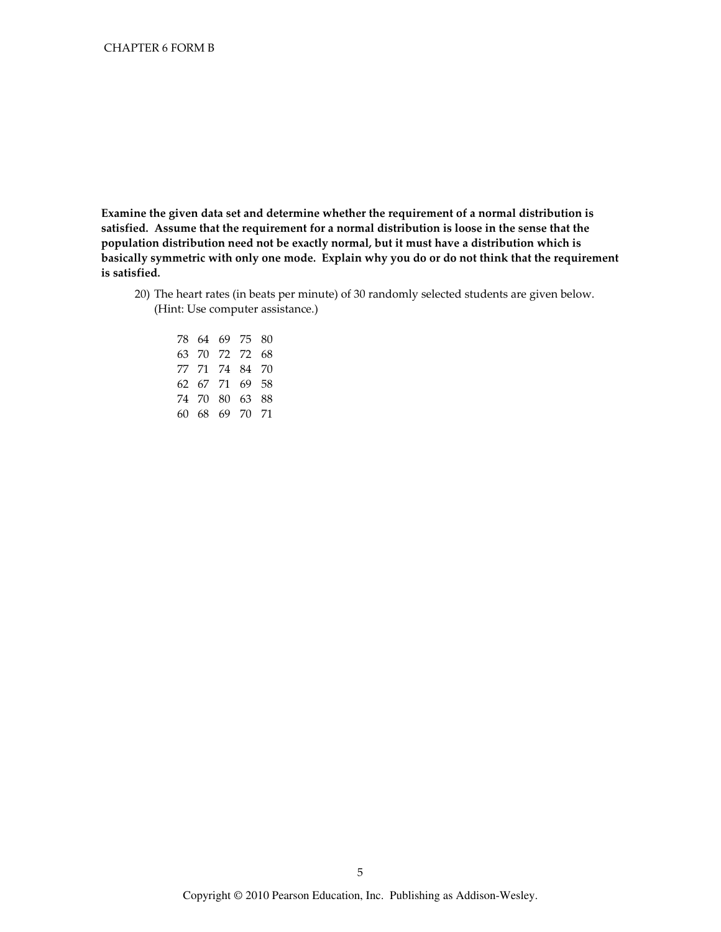Examine the given data set and determine whether the requirement of a normal distribution is satisfied. Assume that the requirement for a normal distribution is loose in the sense that the population distribution need not be exactly normal, but it must have a distribution which is basically symmetric with only one mode. Explain why you do or do not think that the requirement is satisfied.

20) The heart rates (in beats per minute) of 30 randomly selected students are given below. (Hint: Use computer assistance.)

|  | 78 64 69 75    | 80 |
|--|----------------|----|
|  | 63 70 72 72    | 68 |
|  | 77 71 74 84 70 |    |
|  | 62 67 71 69 58 |    |
|  | 74 70 80 63    | 88 |
|  | 60 68 69 70 71 |    |